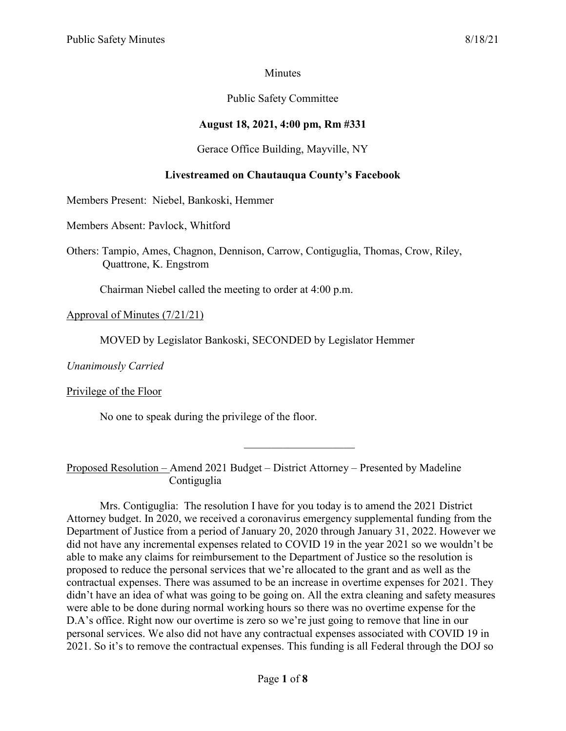### **Minutes**

## Public Safety Committee

## **August 18, 2021, 4:00 pm, Rm #331**

#### Gerace Office Building, Mayville, NY

#### **Livestreamed on Chautauqua County's Facebook**

Members Present: Niebel, Bankoski, Hemmer

Members Absent: Pavlock, Whitford

Others: Tampio, Ames, Chagnon, Dennison, Carrow, Contiguglia, Thomas, Crow, Riley, Quattrone, K. Engstrom

Chairman Niebel called the meeting to order at 4:00 p.m.

Approval of Minutes (7/21/21)

MOVED by Legislator Bankoski, SECONDED by Legislator Hemmer

*Unanimously Carried*

Privilege of the Floor

No one to speak during the privilege of the floor.

Proposed Resolution – Amend 2021 Budget – District Attorney – Presented by Madeline Contiguglia

 $\overline{\phantom{a}}$  . The set of the set of the set of the set of the set of the set of the set of the set of the set of the set of the set of the set of the set of the set of the set of the set of the set of the set of the set o

Mrs. Contiguglia: The resolution I have for you today is to amend the 2021 District Attorney budget. In 2020, we received a coronavirus emergency supplemental funding from the Department of Justice from a period of January 20, 2020 through January 31, 2022. However we did not have any incremental expenses related to COVID 19 in the year 2021 so we wouldn't be able to make any claims for reimbursement to the Department of Justice so the resolution is proposed to reduce the personal services that we're allocated to the grant and as well as the contractual expenses. There was assumed to be an increase in overtime expenses for 2021. They didn't have an idea of what was going to be going on. All the extra cleaning and safety measures were able to be done during normal working hours so there was no overtime expense for the D.A's office. Right now our overtime is zero so we're just going to remove that line in our personal services. We also did not have any contractual expenses associated with COVID 19 in 2021. So it's to remove the contractual expenses. This funding is all Federal through the DOJ so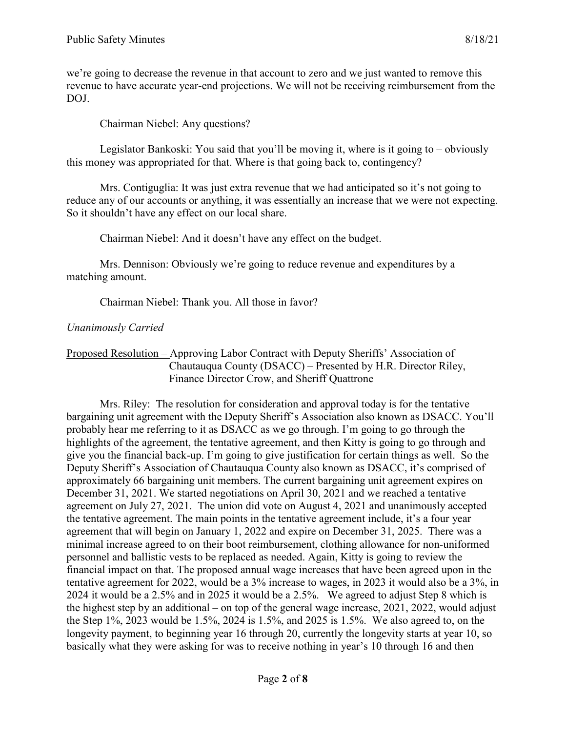we're going to decrease the revenue in that account to zero and we just wanted to remove this revenue to have accurate year-end projections. We will not be receiving reimbursement from the DOJ.

Chairman Niebel: Any questions?

Legislator Bankoski: You said that you'll be moving it, where is it going to – obviously this money was appropriated for that. Where is that going back to, contingency?

Mrs. Contiguglia: It was just extra revenue that we had anticipated so it's not going to reduce any of our accounts or anything, it was essentially an increase that we were not expecting. So it shouldn't have any effect on our local share.

Chairman Niebel: And it doesn't have any effect on the budget.

Mrs. Dennison: Obviously we're going to reduce revenue and expenditures by a matching amount.

Chairman Niebel: Thank you. All those in favor?

# *Unanimously Carried*

## Proposed Resolution – Approving Labor Contract with Deputy Sheriffs' Association of Chautauqua County (DSACC) – Presented by H.R. Director Riley, Finance Director Crow, and Sheriff Quattrone

Mrs. Riley: The resolution for consideration and approval today is for the tentative bargaining unit agreement with the Deputy Sheriff's Association also known as DSACC. You'll probably hear me referring to it as DSACC as we go through. I'm going to go through the highlights of the agreement, the tentative agreement, and then Kitty is going to go through and give you the financial back-up. I'm going to give justification for certain things as well. So the Deputy Sheriff's Association of Chautauqua County also known as DSACC, it's comprised of approximately 66 bargaining unit members. The current bargaining unit agreement expires on December 31, 2021. We started negotiations on April 30, 2021 and we reached a tentative agreement on July 27, 2021. The union did vote on August 4, 2021 and unanimously accepted the tentative agreement. The main points in the tentative agreement include, it's a four year agreement that will begin on January 1, 2022 and expire on December 31, 2025. There was a minimal increase agreed to on their boot reimbursement, clothing allowance for non-uniformed personnel and ballistic vests to be replaced as needed. Again, Kitty is going to review the financial impact on that. The proposed annual wage increases that have been agreed upon in the tentative agreement for 2022, would be a 3% increase to wages, in 2023 it would also be a 3%, in 2024 it would be a 2.5% and in 2025 it would be a 2.5%. We agreed to adjust Step 8 which is the highest step by an additional – on top of the general wage increase, 2021, 2022, would adjust the Step 1%, 2023 would be 1.5%, 2024 is 1.5%, and 2025 is 1.5%. We also agreed to, on the longevity payment, to beginning year 16 through 20, currently the longevity starts at year 10, so basically what they were asking for was to receive nothing in year's 10 through 16 and then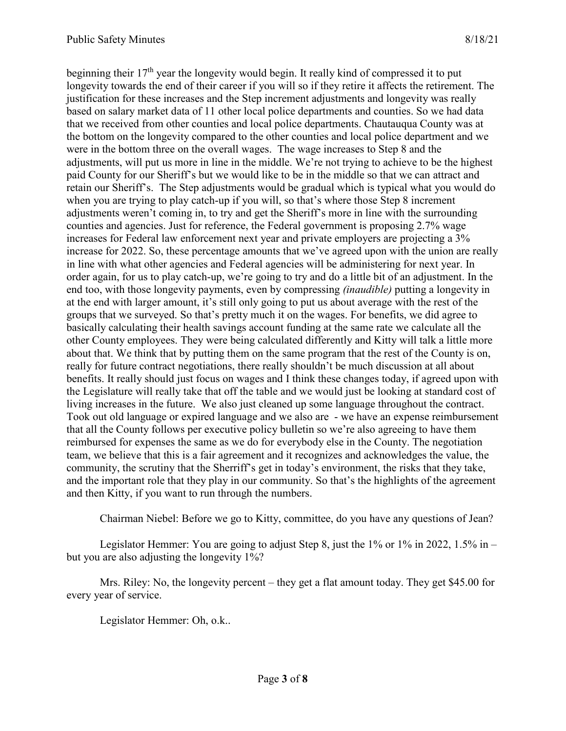beginning their  $17<sup>th</sup>$  year the longevity would begin. It really kind of compressed it to put longevity towards the end of their career if you will so if they retire it affects the retirement. The justification for these increases and the Step increment adjustments and longevity was really based on salary market data of 11 other local police departments and counties. So we had data that we received from other counties and local police departments. Chautauqua County was at the bottom on the longevity compared to the other counties and local police department and we were in the bottom three on the overall wages. The wage increases to Step 8 and the adjustments, will put us more in line in the middle. We're not trying to achieve to be the highest paid County for our Sheriff's but we would like to be in the middle so that we can attract and retain our Sheriff's. The Step adjustments would be gradual which is typical what you would do when you are trying to play catch-up if you will, so that's where those Step 8 increment adjustments weren't coming in, to try and get the Sheriff's more in line with the surrounding counties and agencies. Just for reference, the Federal government is proposing 2.7% wage increases for Federal law enforcement next year and private employers are projecting a 3% increase for 2022. So, these percentage amounts that we've agreed upon with the union are really in line with what other agencies and Federal agencies will be administering for next year. In order again, for us to play catch-up, we're going to try and do a little bit of an adjustment. In the end too, with those longevity payments, even by compressing *(inaudible)* putting a longevity in at the end with larger amount, it's still only going to put us about average with the rest of the groups that we surveyed. So that's pretty much it on the wages. For benefits, we did agree to basically calculating their health savings account funding at the same rate we calculate all the other County employees. They were being calculated differently and Kitty will talk a little more about that. We think that by putting them on the same program that the rest of the County is on, really for future contract negotiations, there really shouldn't be much discussion at all about benefits. It really should just focus on wages and I think these changes today, if agreed upon with the Legislature will really take that off the table and we would just be looking at standard cost of living increases in the future. We also just cleaned up some language throughout the contract. Took out old language or expired language and we also are - we have an expense reimbursement that all the County follows per executive policy bulletin so we're also agreeing to have them reimbursed for expenses the same as we do for everybody else in the County. The negotiation team, we believe that this is a fair agreement and it recognizes and acknowledges the value, the community, the scrutiny that the Sherriff's get in today's environment, the risks that they take, and the important role that they play in our community. So that's the highlights of the agreement and then Kitty, if you want to run through the numbers.

Chairman Niebel: Before we go to Kitty, committee, do you have any questions of Jean?

Legislator Hemmer: You are going to adjust Step 8, just the  $1\%$  or  $1\%$  in 2022, 1.5% in – but you are also adjusting the longevity 1%?

Mrs. Riley: No, the longevity percent – they get a flat amount today. They get \$45.00 for every year of service.

Legislator Hemmer: Oh, o.k..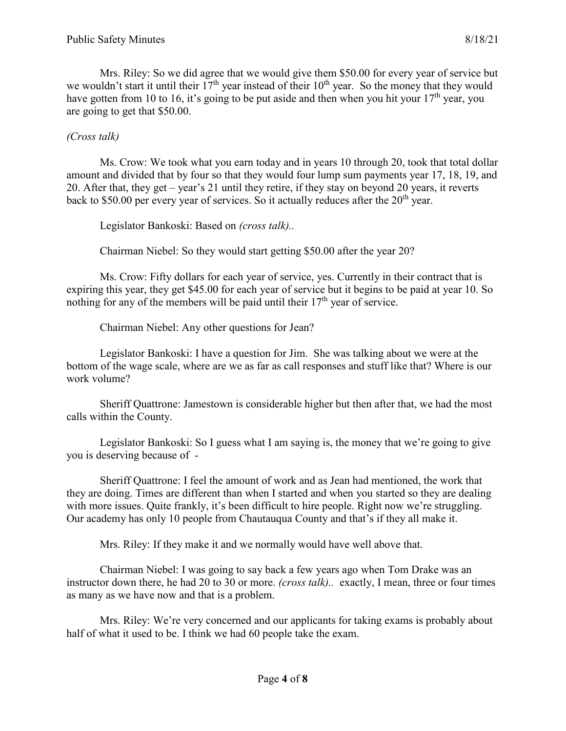Mrs. Riley: So we did agree that we would give them \$50.00 for every year of service but we wouldn't start it until their 17<sup>th</sup> year instead of their 10<sup>th</sup> year. So the money that they would have gotten from 10 to 16, it's going to be put aside and then when you hit your 17<sup>th</sup> year, you are going to get that \$50.00.

#### *(Cross talk)*

Ms. Crow: We took what you earn today and in years 10 through 20, took that total dollar amount and divided that by four so that they would four lump sum payments year 17, 18, 19, and 20. After that, they get – year's 21 until they retire, if they stay on beyond 20 years, it reverts back to \$50.00 per every year of services. So it actually reduces after the  $20<sup>th</sup>$  year.

Legislator Bankoski: Based on *(cross talk)..*

Chairman Niebel: So they would start getting \$50.00 after the year 20?

Ms. Crow: Fifty dollars for each year of service, yes. Currently in their contract that is expiring this year, they get \$45.00 for each year of service but it begins to be paid at year 10. So nothing for any of the members will be paid until their  $17<sup>th</sup>$  year of service.

Chairman Niebel: Any other questions for Jean?

Legislator Bankoski: I have a question for Jim. She was talking about we were at the bottom of the wage scale, where are we as far as call responses and stuff like that? Where is our work volume?

Sheriff Quattrone: Jamestown is considerable higher but then after that, we had the most calls within the County.

Legislator Bankoski: So I guess what I am saying is, the money that we're going to give you is deserving because of -

Sheriff Quattrone: I feel the amount of work and as Jean had mentioned, the work that they are doing. Times are different than when I started and when you started so they are dealing with more issues. Quite frankly, it's been difficult to hire people. Right now we're struggling. Our academy has only 10 people from Chautauqua County and that's if they all make it.

Mrs. Riley: If they make it and we normally would have well above that.

Chairman Niebel: I was going to say back a few years ago when Tom Drake was an instructor down there, he had 20 to 30 or more. *(cross talk)..* exactly, I mean, three or four times as many as we have now and that is a problem.

Mrs. Riley: We're very concerned and our applicants for taking exams is probably about half of what it used to be. I think we had 60 people take the exam.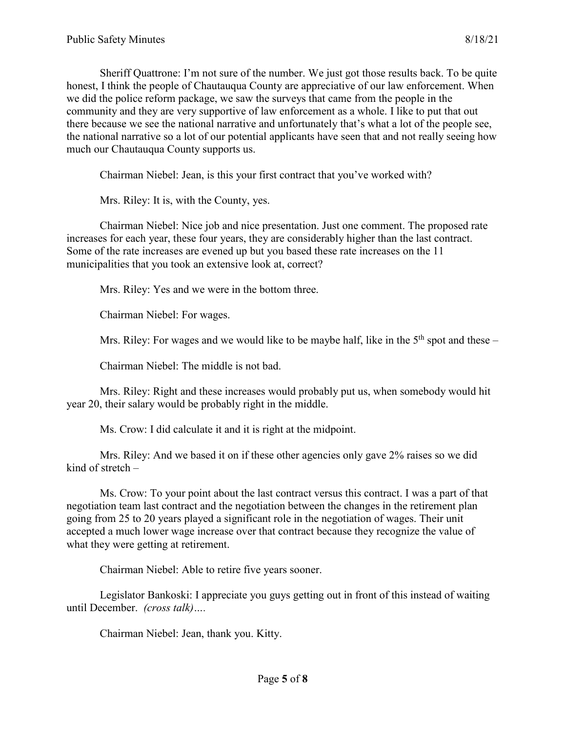Sheriff Quattrone: I'm not sure of the number. We just got those results back. To be quite honest, I think the people of Chautauqua County are appreciative of our law enforcement. When we did the police reform package, we saw the surveys that came from the people in the community and they are very supportive of law enforcement as a whole. I like to put that out there because we see the national narrative and unfortunately that's what a lot of the people see, the national narrative so a lot of our potential applicants have seen that and not really seeing how much our Chautauqua County supports us.

Chairman Niebel: Jean, is this your first contract that you've worked with?

Mrs. Riley: It is, with the County, yes.

Chairman Niebel: Nice job and nice presentation. Just one comment. The proposed rate increases for each year, these four years, they are considerably higher than the last contract. Some of the rate increases are evened up but you based these rate increases on the 11 municipalities that you took an extensive look at, correct?

Mrs. Riley: Yes and we were in the bottom three.

Chairman Niebel: For wages.

Mrs. Riley: For wages and we would like to be maybe half, like in the  $5<sup>th</sup>$  spot and these –

Chairman Niebel: The middle is not bad.

Mrs. Riley: Right and these increases would probably put us, when somebody would hit year 20, their salary would be probably right in the middle.

Ms. Crow: I did calculate it and it is right at the midpoint.

Mrs. Riley: And we based it on if these other agencies only gave 2% raises so we did kind of stretch –

Ms. Crow: To your point about the last contract versus this contract. I was a part of that negotiation team last contract and the negotiation between the changes in the retirement plan going from 25 to 20 years played a significant role in the negotiation of wages. Their unit accepted a much lower wage increase over that contract because they recognize the value of what they were getting at retirement.

Chairman Niebel: Able to retire five years sooner.

Legislator Bankoski: I appreciate you guys getting out in front of this instead of waiting until December. *(cross talk)….*

Chairman Niebel: Jean, thank you. Kitty.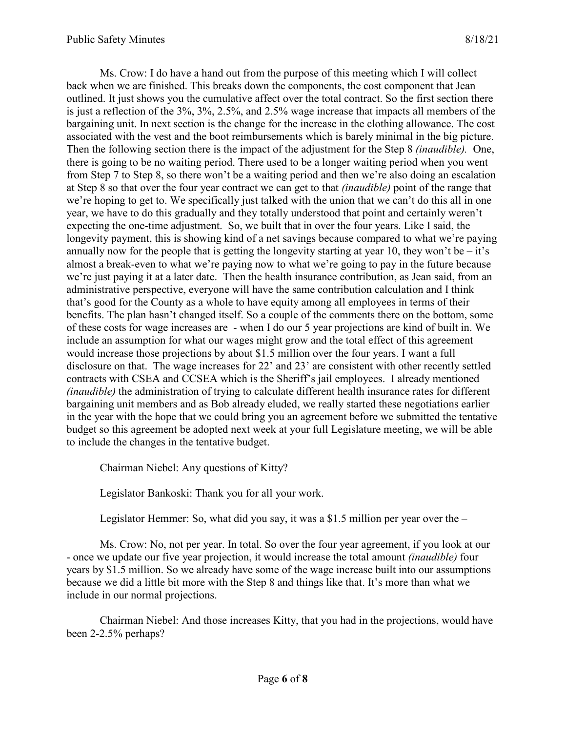Ms. Crow: I do have a hand out from the purpose of this meeting which I will collect back when we are finished. This breaks down the components, the cost component that Jean outlined. It just shows you the cumulative affect over the total contract. So the first section there is just a reflection of the 3%, 3%, 2.5%, and 2.5% wage increase that impacts all members of the bargaining unit. In next section is the change for the increase in the clothing allowance. The cost associated with the vest and the boot reimbursements which is barely minimal in the big picture. Then the following section there is the impact of the adjustment for the Step 8 *(inaudible).* One, there is going to be no waiting period. There used to be a longer waiting period when you went from Step 7 to Step 8, so there won't be a waiting period and then we're also doing an escalation at Step 8 so that over the four year contract we can get to that *(inaudible)* point of the range that we're hoping to get to. We specifically just talked with the union that we can't do this all in one year, we have to do this gradually and they totally understood that point and certainly weren't expecting the one-time adjustment. So, we built that in over the four years. Like I said, the longevity payment, this is showing kind of a net savings because compared to what we're paying annually now for the people that is getting the longevity starting at year 10, they won't be – it's almost a break-even to what we're paying now to what we're going to pay in the future because we're just paying it at a later date. Then the health insurance contribution, as Jean said, from an administrative perspective, everyone will have the same contribution calculation and I think that's good for the County as a whole to have equity among all employees in terms of their benefits. The plan hasn't changed itself. So a couple of the comments there on the bottom, some of these costs for wage increases are - when I do our 5 year projections are kind of built in. We include an assumption for what our wages might grow and the total effect of this agreement would increase those projections by about \$1.5 million over the four years. I want a full disclosure on that. The wage increases for 22' and 23' are consistent with other recently settled contracts with CSEA and CCSEA which is the Sheriff's jail employees. I already mentioned *(inaudible)* the administration of trying to calculate different health insurance rates for different bargaining unit members and as Bob already eluded, we really started these negotiations earlier in the year with the hope that we could bring you an agreement before we submitted the tentative budget so this agreement be adopted next week at your full Legislature meeting, we will be able to include the changes in the tentative budget.

Chairman Niebel: Any questions of Kitty?

Legislator Bankoski: Thank you for all your work.

Legislator Hemmer: So, what did you say, it was a \$1.5 million per year over the –

Ms. Crow: No, not per year. In total. So over the four year agreement, if you look at our - once we update our five year projection, it would increase the total amount *(inaudible)* four years by \$1.5 million. So we already have some of the wage increase built into our assumptions because we did a little bit more with the Step 8 and things like that. It's more than what we include in our normal projections.

Chairman Niebel: And those increases Kitty, that you had in the projections, would have been 2-2.5% perhaps?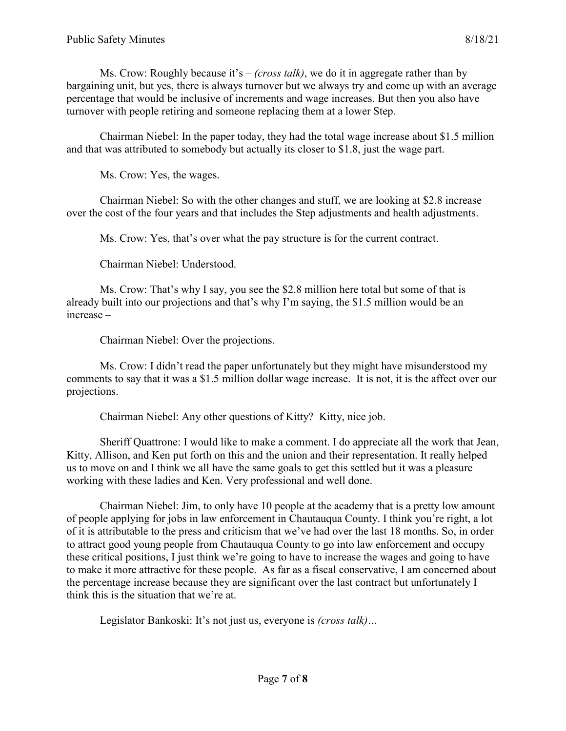Ms. Crow: Roughly because it's – *(cross talk)*, we do it in aggregate rather than by bargaining unit, but yes, there is always turnover but we always try and come up with an average percentage that would be inclusive of increments and wage increases. But then you also have turnover with people retiring and someone replacing them at a lower Step.

Chairman Niebel: In the paper today, they had the total wage increase about \$1.5 million and that was attributed to somebody but actually its closer to \$1.8, just the wage part.

Ms. Crow: Yes, the wages.

Chairman Niebel: So with the other changes and stuff, we are looking at \$2.8 increase over the cost of the four years and that includes the Step adjustments and health adjustments.

Ms. Crow: Yes, that's over what the pay structure is for the current contract.

Chairman Niebel: Understood.

Ms. Crow: That's why I say, you see the \$2.8 million here total but some of that is already built into our projections and that's why I'm saying, the \$1.5 million would be an increase –

Chairman Niebel: Over the projections.

Ms. Crow: I didn't read the paper unfortunately but they might have misunderstood my comments to say that it was a \$1.5 million dollar wage increase. It is not, it is the affect over our projections.

Chairman Niebel: Any other questions of Kitty? Kitty, nice job.

Sheriff Quattrone: I would like to make a comment. I do appreciate all the work that Jean, Kitty, Allison, and Ken put forth on this and the union and their representation. It really helped us to move on and I think we all have the same goals to get this settled but it was a pleasure working with these ladies and Ken. Very professional and well done.

Chairman Niebel: Jim, to only have 10 people at the academy that is a pretty low amount of people applying for jobs in law enforcement in Chautauqua County. I think you're right, a lot of it is attributable to the press and criticism that we've had over the last 18 months. So, in order to attract good young people from Chautauqua County to go into law enforcement and occupy these critical positions, I just think we're going to have to increase the wages and going to have to make it more attractive for these people. As far as a fiscal conservative, I am concerned about the percentage increase because they are significant over the last contract but unfortunately I think this is the situation that we're at.

Legislator Bankoski: It's not just us, everyone is *(cross talk)…*